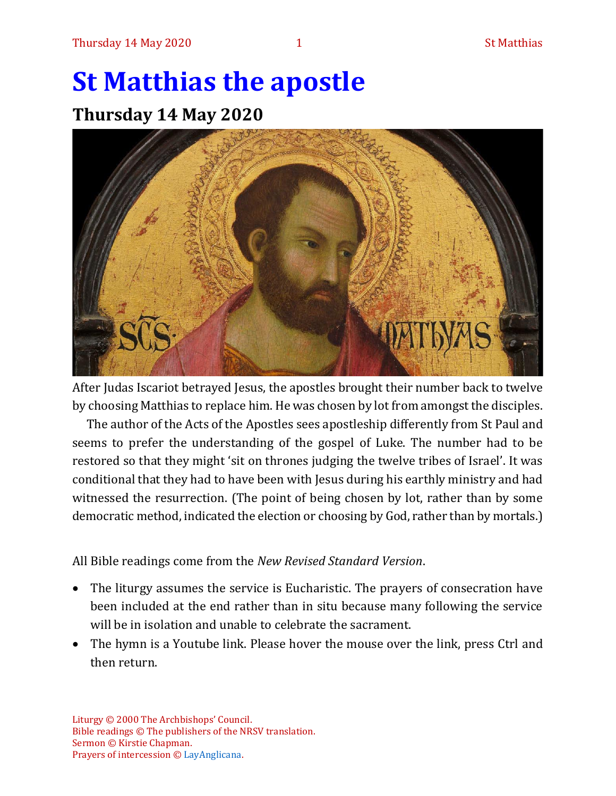# **St Matthias the apostle**

## **Thursday 14 May 2020**



After Judas Iscariot betrayed Jesus, the apostles brought their number back to twelve by choosing Matthias to replace him. He was chosen by lot from amongst the disciples.

The author of the Acts of the Apostles sees apostleship differently from St Paul and seems to prefer the understanding of the gospel of Luke. The number had to be restored so that they might 'sit on thrones judging the twelve tribes of Israel'. It was conditional that they had to have been with Jesus during his earthly ministry and had witnessed the resurrection. (The point of being chosen by lot, rather than by some democratic method, indicated the election or choosing by God, rather than by mortals.)

All Bible readings come from the *New Revised Standard Version*.

- The liturgy assumes the service is Eucharistic. The prayers of consecration have been included at the end rather than in situ because many following the service will be in isolation and unable to celebrate the sacrament.
- The hymn is a Youtube link. Please hover the mouse over the link, press Ctrl and then return.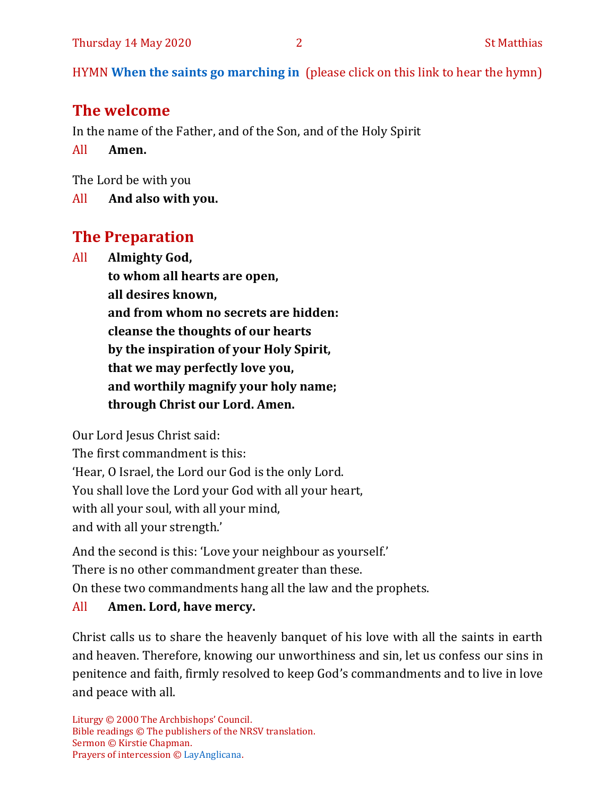HYMN **[When the saints go marching in](https://www.youtube.com/watch?v=lkNPSlQbxNc)** (please click on this link to hear the hymn)

## **The welcome**

In the name of the Father, and of the Son, and of the Holy Spirit

All **Amen.**

The Lord be with you

All **And also with you.**

## **The Preparation**

All **Almighty God, to whom all hearts are open, all desires known, and from whom no secrets are hidden: cleanse the thoughts of our hearts by the inspiration of your Holy Spirit, that we may perfectly love you, and worthily magnify your holy name; through Christ our Lord. Amen.**

Our Lord Jesus Christ said:

The first commandment is this:

'Hear, O Israel, the Lord our God is the only Lord.

You shall love the Lord your God with all your heart,

with all your soul, with all your mind,

and with all your strength.'

And the second is this: 'Love your neighbour as yourself.'

There is no other commandment greater than these.

On these two commandments hang all the law and the prophets.

#### All **Amen. Lord, have mercy.**

Christ calls us to share the heavenly banquet of his love with all the saints in earth and heaven. Therefore, knowing our unworthiness and sin, let us confess our sins in penitence and faith, firmly resolved to keep God's commandments and to live in love and peace with all.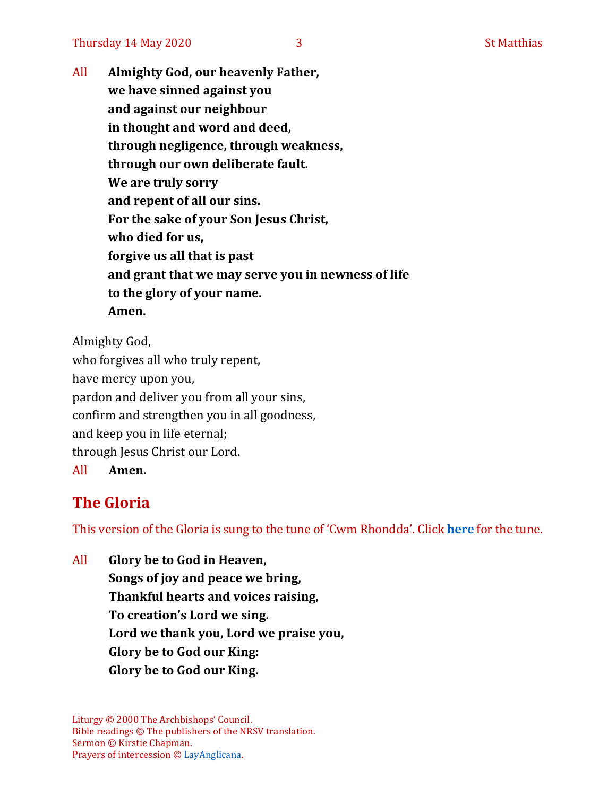All **Almighty God, our heavenly Father, we have sinned against you and against our neighbour in thought and word and deed, through negligence, through weakness, through our own deliberate fault. We are truly sorry and repent of all our sins. For the sake of your Son Jesus Christ, who died for us, forgive us all that is past and grant that we may serve you in newness of life to the glory of your name. Amen.**

Almighty God, who forgives all who truly repent, have mercy upon you, pardon and deliver you from all your sins, confirm and strengthen you in all goodness, and keep you in life eternal; through Jesus Christ our Lord.

All **Amen.**

## **The Gloria**

This version of the Gloria is sung to the tune of 'Cwm Rhondda'. Click **[here](https://www.youtube.com/watch?v=BtGhnEwY74E)** for the tune.

All **Glory be to God in Heaven, Songs of joy and peace we bring, Thankful hearts and voices raising, To creation's Lord we sing. Lord we thank you, Lord we praise you, Glory be to God our King: Glory be to God our King.**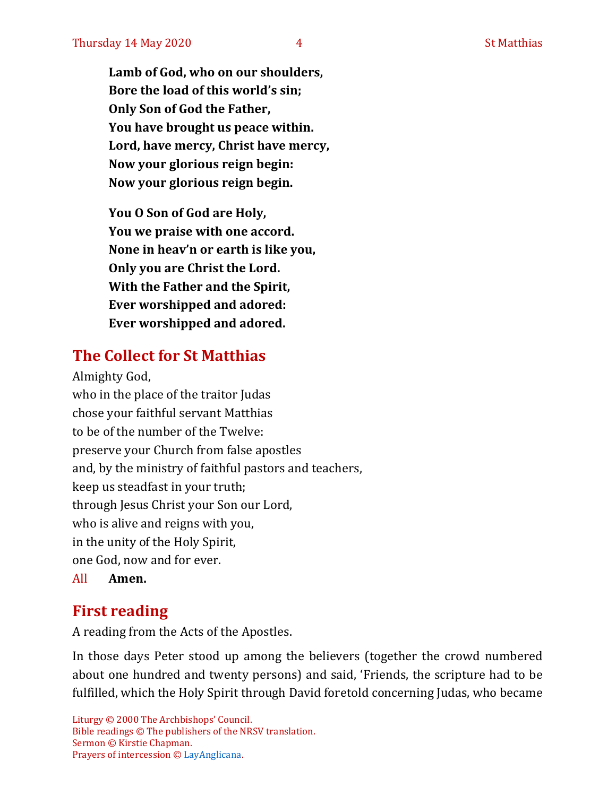**Lamb of God, who on our shoulders, Bore the load of this world's sin; Only Son of God the Father, You have brought us peace within. Lord, have mercy, Christ have mercy, Now your glorious reign begin: Now your glorious reign begin.**

**You O Son of God are Holy, You we praise with one accord. None in heav'n or earth is like you, Only you are Christ the Lord. With the Father and the Spirit, Ever worshipped and adored: Ever worshipped and adored.**

## **The Collect for St Matthias**

Almighty God, who in the place of the traitor Judas chose your faithful servant Matthias to be of the number of the Twelve: preserve your Church from false apostles and, by the ministry of faithful pastors and teachers, keep us steadfast in your truth; through Jesus Christ your Son our Lord, who is alive and reigns with you, in the unity of the Holy Spirit, one God, now and for ever. All **Amen.**

#### **First reading**

A reading from the Acts of the Apostles.

In those days Peter stood up among the believers (together the crowd numbered about one hundred and twenty persons) and said, 'Friends, the scripture had to be fulfilled, which the Holy Spirit through David foretold concerning Judas, who became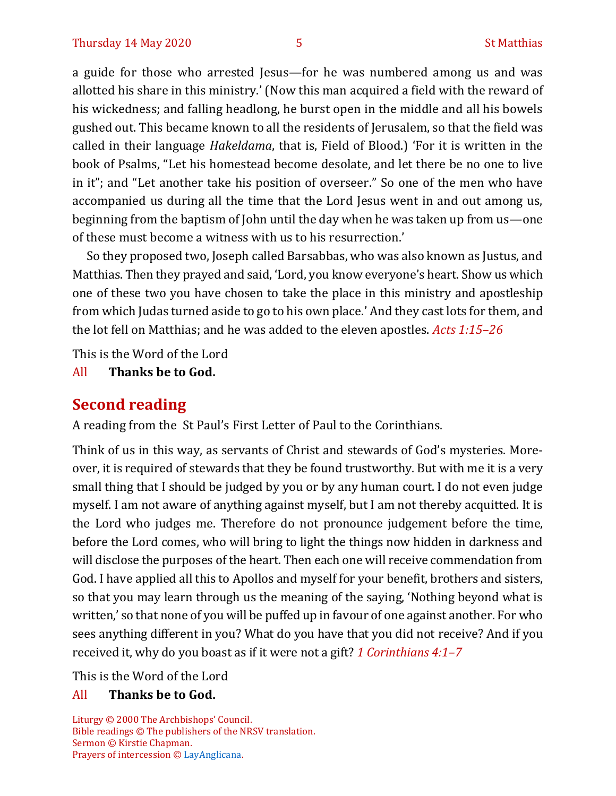a guide for those who arrested Jesus—for he was numbered among us and was allotted his share in this ministry.' (Now this man acquired a field with the reward of his wickedness; and falling headlong, he burst open in the middle and all his bowels gushed out. This became known to all the residents of Jerusalem, so that the field was called in their language *Hakeldama*, that is, Field of Blood.) 'For it is written in the book of Psalms, "Let his homestead become desolate, and let there be no one to live in it"; and "Let another take his position of overseer." So one of the men who have accompanied us during all the time that the Lord Jesus went in and out among us, beginning from the baptism of John until the day when he was taken up from us—one of these must become a witness with us to his resurrection.'

So they proposed two, Joseph called Barsabbas, who was also known as Justus, and Matthias. Then they prayed and said, 'Lord, you know everyone's heart. Show us which one of these two you have chosen to take the place in this ministry and apostleship from which Judas turned aside to go to his own place.' And they cast lots for them, and the lot fell on Matthias; and he was added to the eleven apostles. *Acts 1:15–26*

This is the Word of the Lord

All **Thanks be to God.**

#### **Second reading**

A reading from the St Paul's First Letter of Paul to the Corinthians.

Think of us in this way, as servants of Christ and stewards of God's mysteries. Moreover, it is required of stewards that they be found trustworthy. But with me it is a very small thing that I should be judged by you or by any human court. I do not even judge myself. I am not aware of anything against myself, but I am not thereby acquitted. It is the Lord who judges me. Therefore do not pronounce judgement before the time, before the Lord comes, who will bring to light the things now hidden in darkness and will disclose the purposes of the heart. Then each one will receive commendation from God. I have applied all this to Apollos and myself for your benefit, brothers and sisters, so that you may learn through us the meaning of the saying, 'Nothing beyond what is written,' so that none of you will be puffed up in favour of one against another. For who sees anything different in you? What do you have that you did not receive? And if you received it, why do you boast as if it were not a gift? *1 Corinthians 4:1–7*

This is the Word of the Lord

#### All **Thanks be to God.**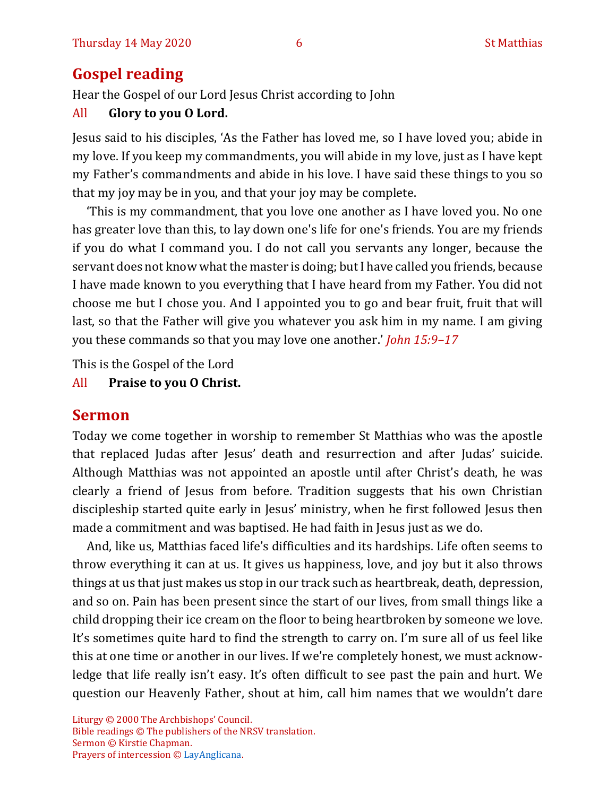#### **Gospel reading**

Hear the Gospel of our Lord Jesus Christ according to John

#### All **Glory to you O Lord.**

Jesus said to his disciples, 'As the Father has loved me, so I have loved you; abide in my love. If you keep my commandments, you will abide in my love, just as I have kept my Father's commandments and abide in his love. I have said these things to you so that my joy may be in you, and that your joy may be complete.

'This is my commandment, that you love one another as I have loved you. No one has greater love than this, to lay down one's life for one's friends. You are my friends if you do what I command you. I do not call you servants any longer, because the servant does not know what the master is doing; but I have called you friends, because I have made known to you everything that I have heard from my Father. You did not choose me but I chose you. And I appointed you to go and bear fruit, fruit that will last, so that the Father will give you whatever you ask him in my name. I am giving you these commands so that you may love one another.' *John 15:9–17*

This is the Gospel of the Lord

All **Praise to you O Christ.** 

#### **Sermon**

Today we come together in worship to remember St Matthias who was the apostle that replaced Judas after Jesus' death and resurrection and after Judas' suicide. Although Matthias was not appointed an apostle until after Christ's death, he was clearly a friend of Jesus from before. Tradition suggests that his own Christian discipleship started quite early in Jesus' ministry, when he first followed Jesus then made a commitment and was baptised. He had faith in Jesus just as we do.

And, like us, Matthias faced life's difficulties and its hardships. Life often seems to throw everything it can at us. It gives us happiness, love, and joy but it also throws things at us that just makes us stop in our track such as heartbreak, death, depression, and so on. Pain has been present since the start of our lives, from small things like a child dropping their ice cream on the floor to being heartbroken by someone we love. It's sometimes quite hard to find the strength to carry on. I'm sure all of us feel like this at one time or another in our lives. If we're completely honest, we must acknowledge that life really isn't easy. It's often difficult to see past the pain and hurt. We question our Heavenly Father, shout at him, call him names that we wouldn't dare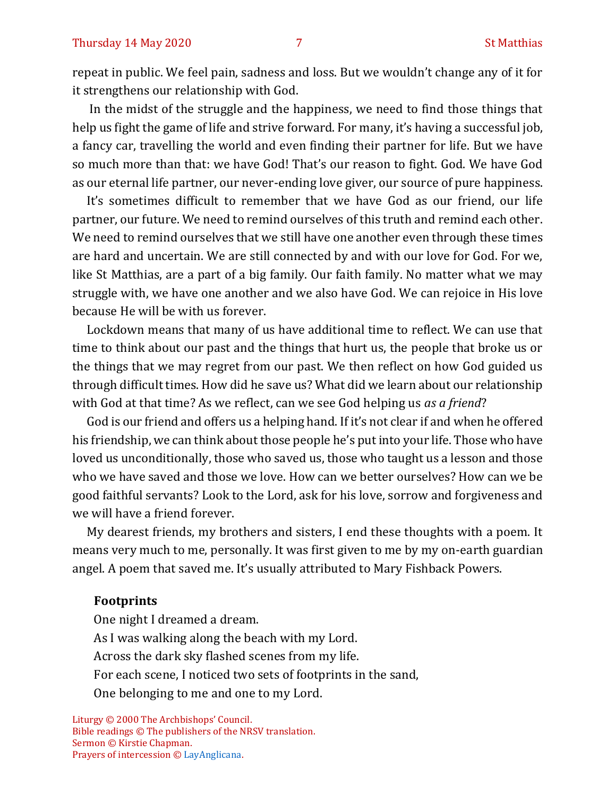repeat in public. We feel pain, sadness and loss. But we wouldn't change any of it for it strengthens our relationship with God.

In the midst of the struggle and the happiness, we need to find those things that help us fight the game of life and strive forward. For many, it's having a successful job, a fancy car, travelling the world and even finding their partner for life. But we have so much more than that: we have God! That's our reason to fight. God. We have God as our eternal life partner, our never-ending love giver, our source of pure happiness.

It's sometimes difficult to remember that we have God as our friend, our life partner, our future. We need to remind ourselves of this truth and remind each other. We need to remind ourselves that we still have one another even through these times are hard and uncertain. We are still connected by and with our love for God. For we, like St Matthias, are a part of a big family. Our faith family. No matter what we may struggle with, we have one another and we also have God. We can rejoice in His love because He will be with us forever.

Lockdown means that many of us have additional time to reflect. We can use that time to think about our past and the things that hurt us, the people that broke us or the things that we may regret from our past. We then reflect on how God guided us through difficult times. How did he save us? What did we learn about our relationship with God at that time? As we reflect, can we see God helping us *as a friend*?

God is our friend and offers us a helping hand. If it's not clear if and when he offered his friendship, we can think about those people he's put into your life. Those who have loved us unconditionally, those who saved us, those who taught us a lesson and those who we have saved and those we love. How can we better ourselves? How can we be good faithful servants? Look to the Lord, ask for his love, sorrow and forgiveness and we will have a friend forever.

My dearest friends, my brothers and sisters, I end these thoughts with a poem. It means very much to me, personally. It was first given to me by my on-earth guardian angel. A poem that saved me. It's usually attributed to Mary Fishback Powers.

#### **Footprints**

One night I dreamed a dream. As I was walking along the beach with my Lord. Across the dark sky flashed scenes from my life. For each scene, I noticed two sets of footprints in the sand, One belonging to me and one to my Lord.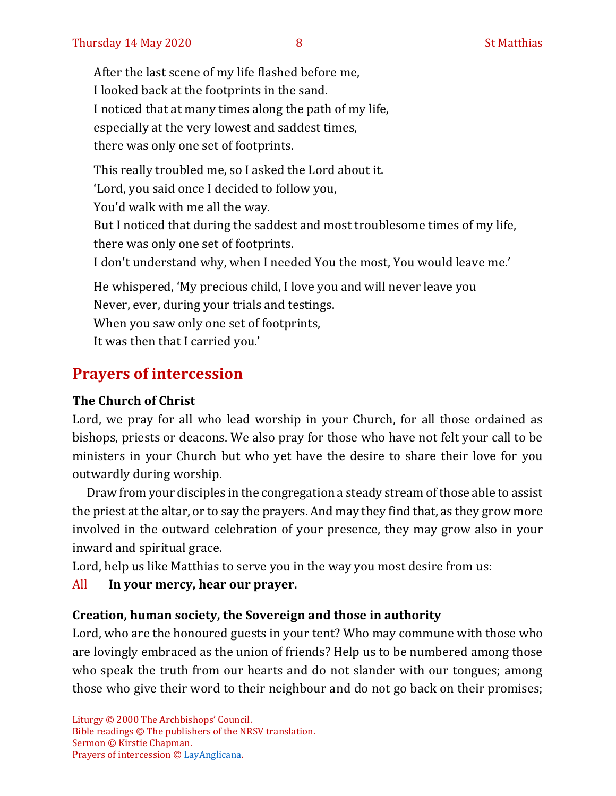After the last scene of my life flashed before me, I looked back at the footprints in the sand. I noticed that at many times along the path of my life, especially at the very lowest and saddest times, there was only one set of footprints. This really troubled me, so I asked the Lord about it. 'Lord, you said once I decided to follow you, You'd walk with me all the way. But I noticed that during the saddest and most troublesome times of my life, there was only one set of footprints. I don't understand why, when I needed You the most, You would leave me.' He whispered, 'My precious child, I love you and will never leave you Never, ever, during your trials and testings. When you saw only one set of footprints, It was then that I carried you.'

## **Prayers of intercession**

#### **The Church of Christ**

Lord, we pray for all who lead worship in your Church, for all those ordained as bishops, priests or deacons. We also pray for those who have not felt your call to be ministers in your Church but who yet have the desire to share their love for you outwardly during worship.

Draw from your disciples in the congregation a steady stream of those able to assist the priest at the altar, or to say the prayers. And may they find that, as they grow more involved in the outward celebration of your presence, they may grow also in your inward and spiritual grace.

Lord, help us like Matthias to serve you in the way you most desire from us:

#### All **In your mercy, hear our prayer.**

#### **Creation, human society, the Sovereign and those in authority**

Lord, who are the honoured guests in your tent? Who may commune with those who are lovingly embraced as the union of friends? Help us to be numbered among those who speak the truth from our hearts and do not slander with our tongues; among those who give their word to their neighbour and do not go back on their promises;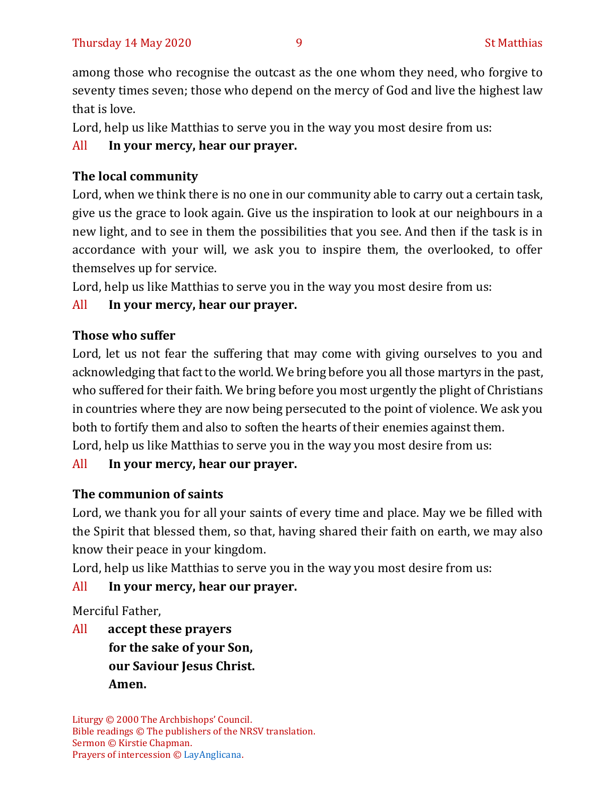among those who recognise the outcast as the one whom they need, who forgive to seventy times seven; those who depend on the mercy of God and live the highest law that is love.

Lord, help us like Matthias to serve you in the way you most desire from us:

#### All **In your mercy, hear our prayer.**

#### **The local community**

Lord, when we think there is no one in our community able to carry out a certain task, give us the grace to look again. Give us the inspiration to look at our neighbours in a new light, and to see in them the possibilities that you see. And then if the task is in accordance with your will, we ask you to inspire them, the overlooked, to offer themselves up for service.

Lord, help us like Matthias to serve you in the way you most desire from us:

#### All **In your mercy, hear our prayer.**

#### **Those who suffer**

Lord, let us not fear the suffering that may come with giving ourselves to you and acknowledging that fact to the world. We bring before you all those martyrs in the past, who suffered for their faith. We bring before you most urgently the plight of Christians in countries where they are now being persecuted to the point of violence. We ask you both to fortify them and also to soften the hearts of their enemies against them.

Lord, help us like Matthias to serve you in the way you most desire from us:

#### All **In your mercy, hear our prayer.**

#### **The communion of saints**

Lord, we thank you for all your saints of every time and place. May we be filled with the Spirit that blessed them, so that, having shared their faith on earth, we may also know their peace in your kingdom.

Lord, help us like Matthias to serve you in the way you most desire from us:

#### All **In your mercy, hear our prayer.**

Merciful Father,

All **accept these prayers for the sake of your Son, our Saviour Jesus Christ. Amen.**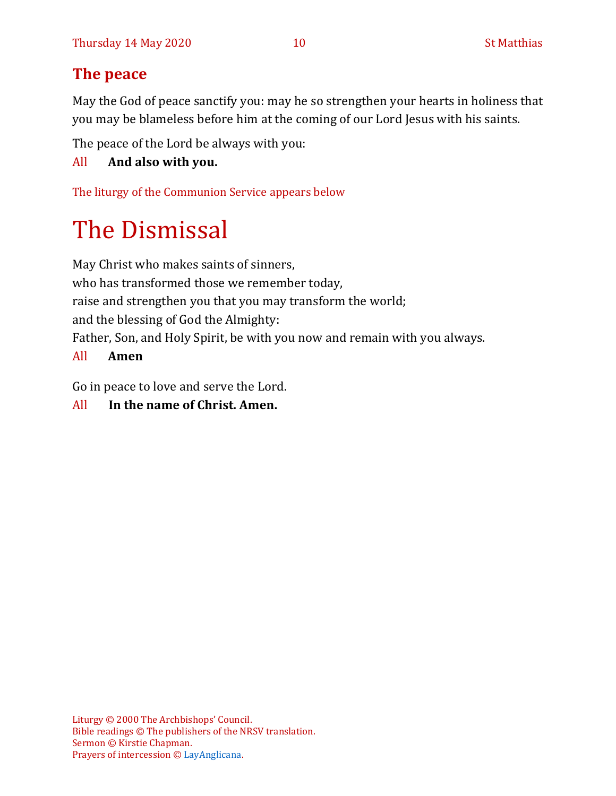## **The peace**

May the God of peace sanctify you: may he so strengthen your hearts in holiness that you may be blameless before him at the coming of our Lord Jesus with his saints.

The peace of the Lord be always with you:

#### All **And also with you.**

The liturgy of the Communion Service appears below

## The Dismissal

May Christ who makes saints of sinners, who has transformed those we remember today, raise and strengthen you that you may transform the world; and the blessing of God the Almighty: Father, Son, and Holy Spirit, be with you now and remain with you always.

#### All **Amen**

Go in peace to love and serve the Lord.

#### All **In the name of Christ. Amen.**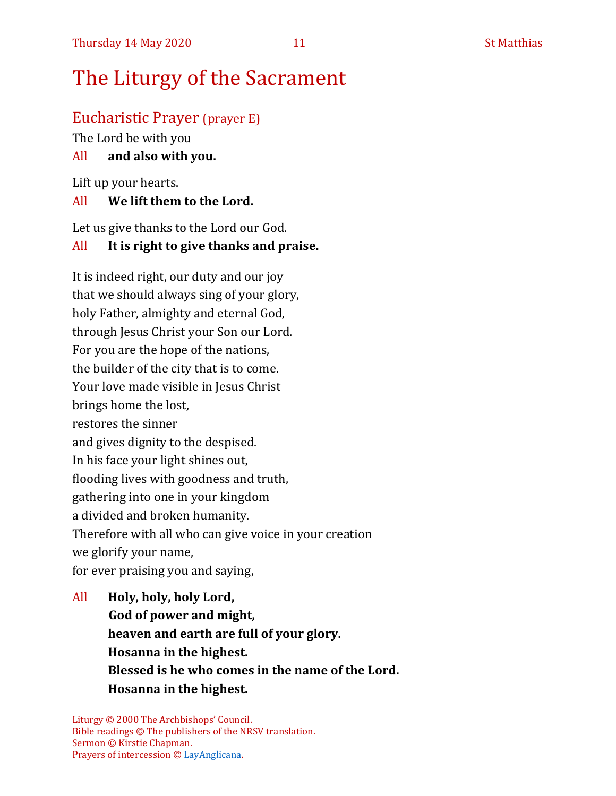### Eucharistic Prayer (prayer E)

The Lord be with you

#### All **and also with you.**

Lift up your hearts.

#### All **We lift them to the Lord.**

Let us give thanks to the Lord our God.

#### All **It is right to give thanks and praise.**

It is indeed right, our duty and our joy that we should always sing of your glory, holy Father, almighty and eternal God, through Jesus Christ your Son our Lord. For you are the hope of the nations, the builder of the city that is to come. Your love made visible in Jesus Christ brings home the lost, restores the sinner and gives dignity to the despised. In his face your light shines out, flooding lives with goodness and truth, gathering into one in your kingdom a divided and broken humanity. Therefore with all who can give voice in your creation we glorify your name, for ever praising you and saying,

All **Holy, holy, holy Lord, God of power and might, heaven and earth are full of your glory. Hosanna in the highest. Blessed is he who comes in the name of the Lord. Hosanna in the highest.**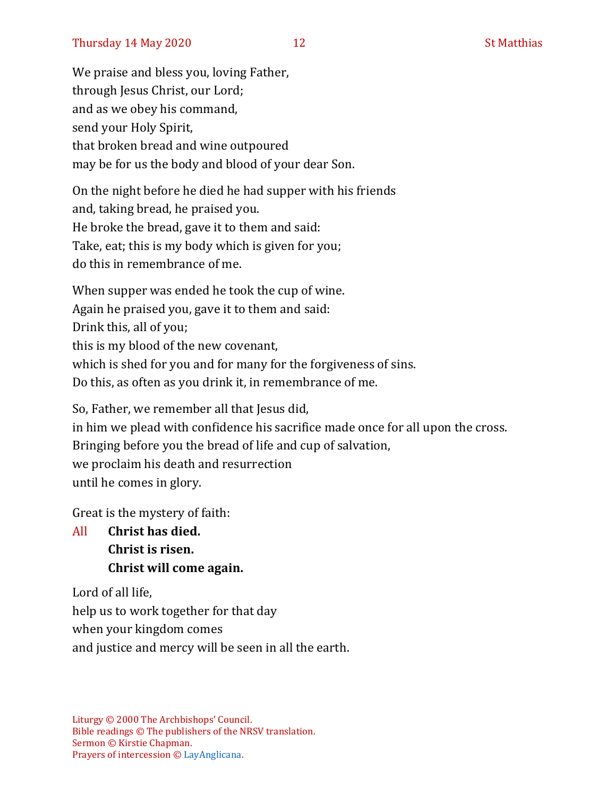We praise and bless you, loving Father, through Jesus Christ, our Lord; and as we obey his command, send your Holy Spirit, that broken bread and wine outpoured may be for us the body and blood of your dear Son.

On the night before he died he had supper with his friends and, taking bread, he praised you. He broke the bread, gave it to them and said: Take, eat; this is my body which is given for you; do this in remembrance of me.

When supper was ended he took the cup of wine. Again he praised you, gave it to them and said: Drink this, all of you; this is my blood of the new covenant, which is shed for you and for many for the forgiveness of sins. Do this, as often as you drink it, in remembrance of me.

So, Father, we remember all that Jesus did, in him we plead with confidence his sacrifice made once for all upon the cross. Bringing before you the bread of life and cup of salvation, we proclaim his death and resurrection until he comes in glory.

Great is the mystery of faith:

All **Christ has died. Christ is risen. Christ will come again.**

Lord of all life, help us to work together for that day when your kingdom comes and justice and mercy will be seen in all the earth.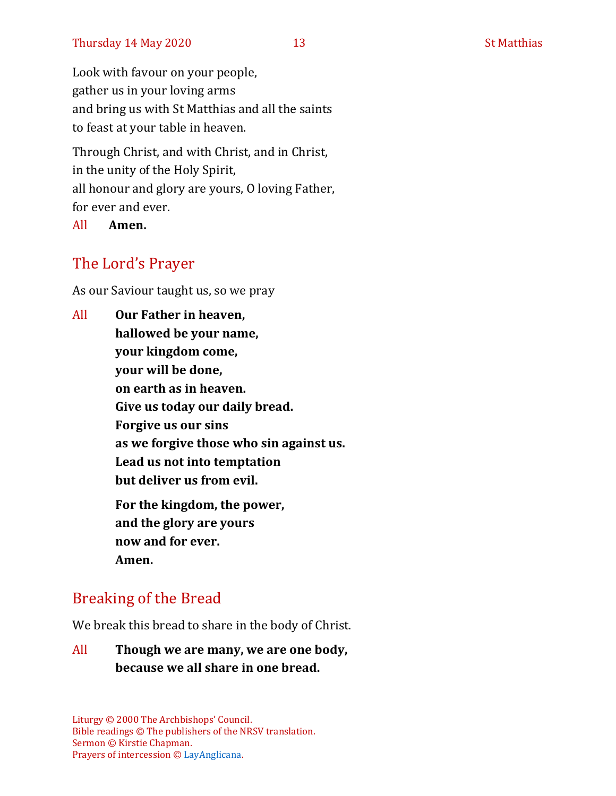#### Thursday 14 May 2020 13 13 St Matthias

Look with favour on your people, gather us in your loving arms and bring us with St Matthias and all the saints to feast at your table in heaven.

Through Christ, and with Christ, and in Christ, in the unity of the Holy Spirit, all honour and glory are yours, O loving Father, for ever and ever.

All **Amen.**

## The Lord's Prayer

As our Saviour taught us, so we pray

All **Our Father in heaven, hallowed be your name, your kingdom come, your will be done, on earth as in heaven. Give us today our daily bread. Forgive us our sins as we forgive those who sin against us. Lead us not into temptation but deliver us from evil. For the kingdom, the power, and the glory are yours now and for ever. Amen.**

## Breaking of the Bread

We break this bread to share in the body of Christ.

All **Though we are many, we are one body, because we all share in one bread.**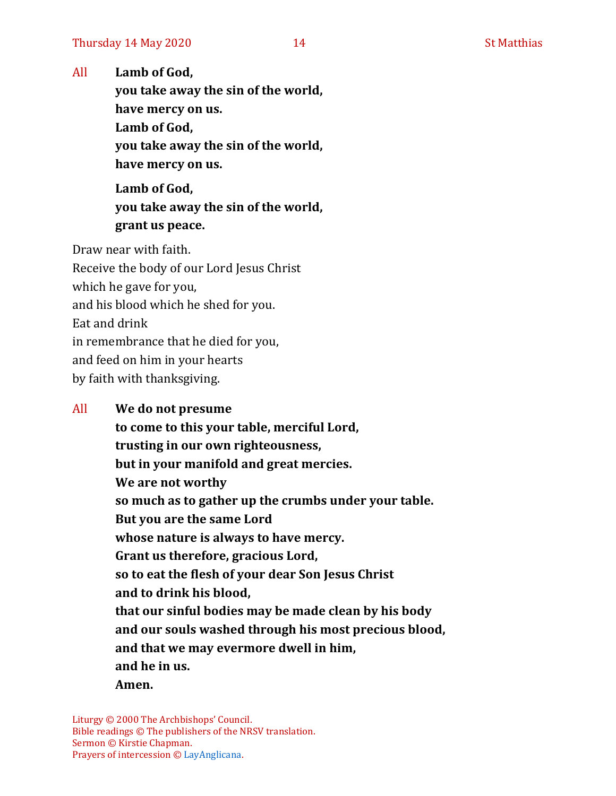All **Lamb of God,**

**you take away the sin of the world, have mercy on us. Lamb of God, you take away the sin of the world, have mercy on us.**

**Lamb of God, you take away the sin of the world, grant us peace.**

Draw near with faith.

Receive the body of our Lord Jesus Christ which he gave for you, and his blood which he shed for you. Eat and drink in remembrance that he died for you, and feed on him in your hearts by faith with thanksgiving.

All **We do not presume**

**to come to this your table, merciful Lord, trusting in our own righteousness, but in your manifold and great mercies. We are not worthy so much as to gather up the crumbs under your table. But you are the same Lord whose nature is always to have mercy. Grant us therefore, gracious Lord, so to eat the flesh of your dear Son Jesus Christ and to drink his blood, that our sinful bodies may be made clean by his body and our souls washed through his most precious blood, and that we may evermore dwell in him, and he in us. Amen.**